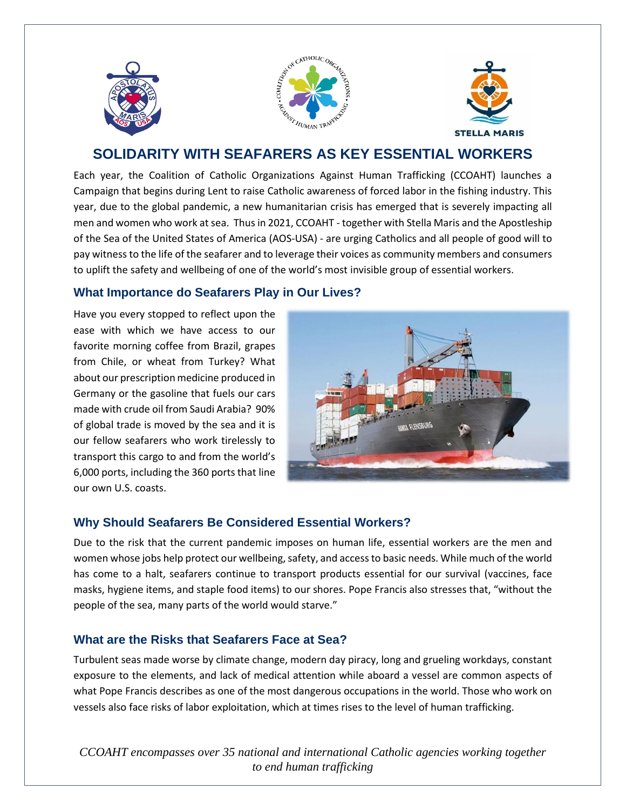





# **SOLIDARITY WITH SEAFARERS AS KEY ESSENTIAL WORKERS**

Each year, the Coalition of Catholic Organizations Against Human Trafficking (CCOAHT) launches a Campaign that begins during Lent to raise Catholic awareness of forced labor in the fishing industry. This year, due to the global pandemic, a new humanitarian crisis has emerged that is severely impacting all men and women who work at sea. Thus in 2021, CCOAHT - together with Stella Maris and the Apostleship of the Sea of the United States of America (AOS-USA) - are urging Catholics and all people of good will to pay witness to the life of the seafarer and to leverage their voices as community members and consumers to uplift the safety and wellbeing of one of the world's most invisible group of essential workers.

#### **What Importance do Seafarers Play in Our Lives?**

Have you every stopped to reflect upon the ease with which we have access to our favorite morning coffee from Brazil, grapes from Chile, or wheat from Turkey? What about our prescription medicine produced in Germany or the gasoline that fuels our cars made with crude oil from Saudi Arabia? 90% of global trade is moved by the sea and it is our fellow seafarers who work tirelessly to transport this cargo to and from the world's 6,000 ports, including the 360 ports that line our own U.S. coasts.



## **Why Should Seafarers Be Considered Essential Workers?**

Due to the risk that the current pandemic imposes on human life, essential workers are the men and women whose jobs help protect our wellbeing, safety, and access to basic needs. While much of the world has come to a halt, seafarers continue to transport products essential for our survival (vaccines, face masks, hygiene items, and staple food items) to our shores. Pope Francis also stresses that, "without the people of the sea, many parts of the world would starve."

#### **What are the Risks that Seafarers Face at Sea?**

Turbulent seas made worse by climate change, modern day piracy, long and grueling workdays, constant exposure to the elements, and lack of medical attention while aboard a vessel are common aspects of what Pope Francis describes as one of the most dangerous occupations in the world. Those who work on vessels also face risks of labor exploitation, which at times rises to the level of human trafficking.

*CCOAHT encompasses over 35 national and international Catholic agencies working together to end human trafficking*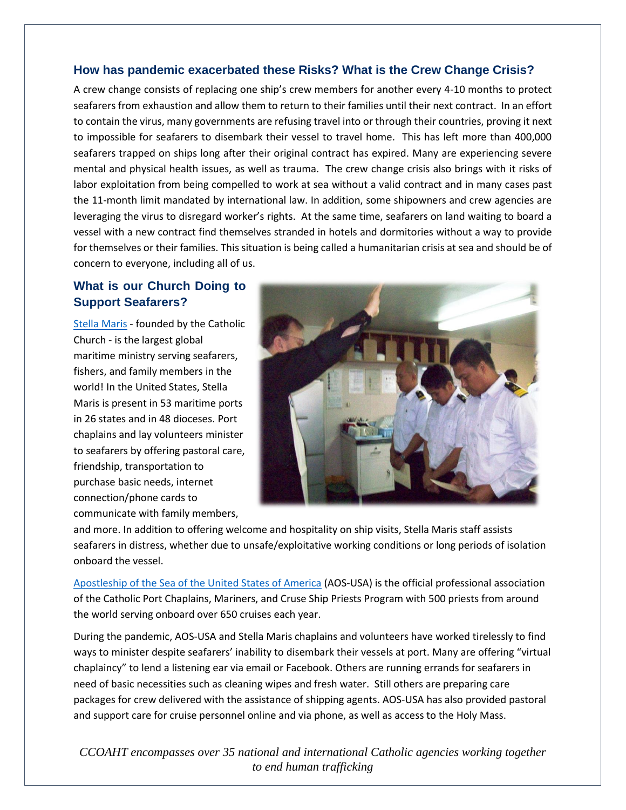#### **How has pandemic exacerbated these Risks? What is the Crew Change Crisis?**

A crew change consists of replacing one ship's crew members for another every 4-10 months to protect seafarers from exhaustion and allow them to return to their families until their next contract. In an effort to contain the virus, many governments are refusing travel into or through their countries, proving it next to impossible for seafarers to disembark their vessel to travel home. This has left more than 400,000 seafarers trapped on ships long after their original contract has expired. Many are experiencing severe mental and physical health issues, as well as trauma. The crew change crisis also brings with it risks of labor exploitation from being compelled to work at sea without a valid contract and in many cases past the 11-month limit mandated by international law. In addition, some shipowners and crew agencies are leveraging the virus to disregard worker's rights. At the same time, seafarers on land waiting to board a vessel with a new contract find themselves stranded in hotels and dormitories without a way to provide for themselves or their families. This situation is being called a humanitarian crisis at sea and should be of concern to everyone, including all of us.

## **What is our Church Doing to Support Seafarers?**

[Stella Maris](https://www.usccb.org/committees/cultural-diversity-church/stella-maris) - founded by the Catholic Church - is the largest global maritime ministry serving seafarers, fishers, and family members in the world! In the United States, Stella Maris is present in 53 maritime ports in 26 states and in 48 dioceses. Port chaplains and lay volunteers minister to seafarers by offering pastoral care, friendship, transportation to purchase basic needs, internet connection/phone cards to communicate with family members,



and more. In addition to offering welcome and hospitality on ship visits, Stella Maris staff assists seafarers in distress, whether due to unsafe/exploitative working conditions or long periods of isolation onboard the vessel.

[Apostleship of the Sea of the United States of America](http://www.aos-usa.org/) (AOS-USA) is the official professional association of the Catholic Port Chaplains, Mariners, and Cruse Ship Priests Program with 500 priests from around the world serving onboard over 650 cruises each year.

During the pandemic, AOS-USA and Stella Maris chaplains and volunteers have worked tirelessly to find ways to minister despite seafarers' inability to disembark their vessels at port. Many are offering "virtual chaplaincy" to lend a listening ear via email or Facebook. Others are running errands for seafarers in need of basic necessities such as cleaning wipes and fresh water. Still others are preparing care packages for crew delivered with the assistance of shipping agents. AOS-USA has also provided pastoral and support care for cruise personnel online and via phone, as well as access to the Holy Mass.

*CCOAHT encompasses over 35 national and international Catholic agencies working together to end human trafficking*